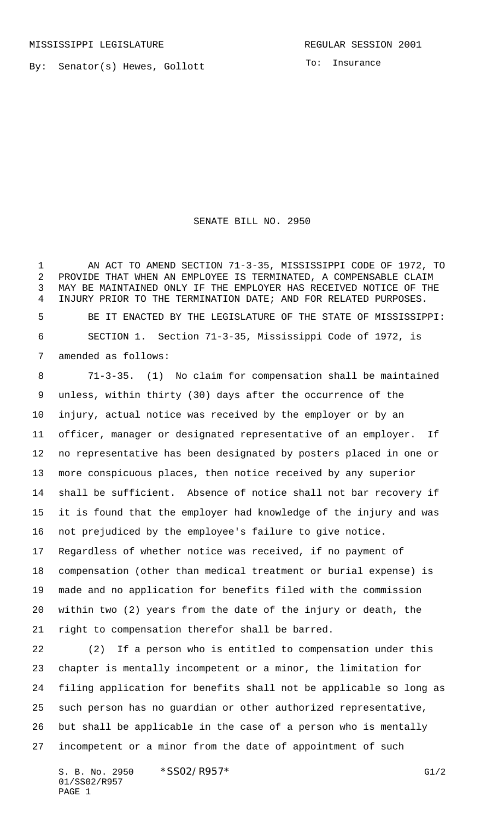By: Senator(s) Hewes, Gollott

To: Insurance

SENATE BILL NO. 2950

1 AN ACT TO AMEND SECTION 71-3-35, MISSISSIPPI CODE OF 1972, TO PROVIDE THAT WHEN AN EMPLOYEE IS TERMINATED, A COMPENSABLE CLAIM MAY BE MAINTAINED ONLY IF THE EMPLOYER HAS RECEIVED NOTICE OF THE INJURY PRIOR TO THE TERMINATION DATE; AND FOR RELATED PURPOSES. BE IT ENACTED BY THE LEGISLATURE OF THE STATE OF MISSISSIPPI: SECTION 1. Section 71-3-35, Mississippi Code of 1972, is amended as follows:

 71-3-35. (1) No claim for compensation shall be maintained unless, within thirty (30) days after the occurrence of the injury, actual notice was received by the employer or by an officer, manager or designated representative of an employer. If no representative has been designated by posters placed in one or more conspicuous places, then notice received by any superior shall be sufficient. Absence of notice shall not bar recovery if it is found that the employer had knowledge of the injury and was not prejudiced by the employee's failure to give notice. Regardless of whether notice was received, if no payment of compensation (other than medical treatment or burial expense) is made and no application for benefits filed with the commission within two (2) years from the date of the injury or death, the right to compensation therefor shall be barred.

 (2) If a person who is entitled to compensation under this chapter is mentally incompetent or a minor, the limitation for filing application for benefits shall not be applicable so long as such person has no guardian or other authorized representative, but shall be applicable in the case of a person who is mentally incompetent or a minor from the date of appointment of such

S. B. No. 2950 \* SSO2/R957\* G1/2 01/SS02/R957 PAGE 1